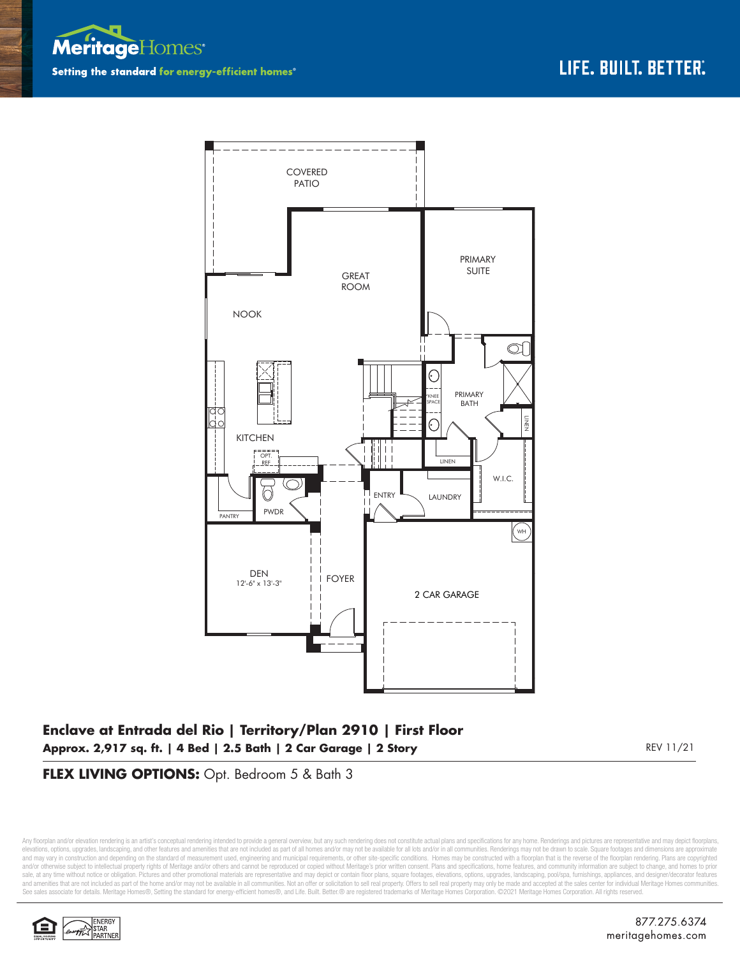



## **Enclave at Entrada del Rio | Territory/Plan 2910 | First Floor Approx. 2,917 sq. ft. | 4 Bed | 2.5 Bath | 2 Car Garage | 2 Story**

REV 11/21

#### **FLEX LIVING OPTIONS:** Opt. Bedroom 5 & Bath 3

Any floorplan and/or elevation rendering is an artist's conceptual rendering intended to provide a general overview, but any such rendering does not constitute actual plans and specifications for any home. Renderings and p elevations, options, upgrades, landscaping, and other features and amenities that are not included as part of all homes and/or may not be available for all lots and/or in all communities. Renderings may not be drawn to sca and may vary in construction and depending on the standard of measurement used, engineering and municipal requirements, or other site-specific conditions. Homes may be constructed with a floorplan that is the reverse of th and/or otherwise subject to intellectual property rights of Meritage and/or others and cannot be reproduced or copied without Meritage's prior written consent. Plans and specifications, home features, and community informa sale, at any time without notice or obligation. Pictures and other promotional materials are representative and may depict or contain floor plans, square footages, elevations, options, upgrades, landscaping, pool/spa, furn See sales associate for details. Meritage Homes®, Setting the standard for energy-efficient homes®, and Life. Built. Better. @ are registered trademarks of Meritage Homes Corporation. ©2021 Meritage Homes Corporation. All

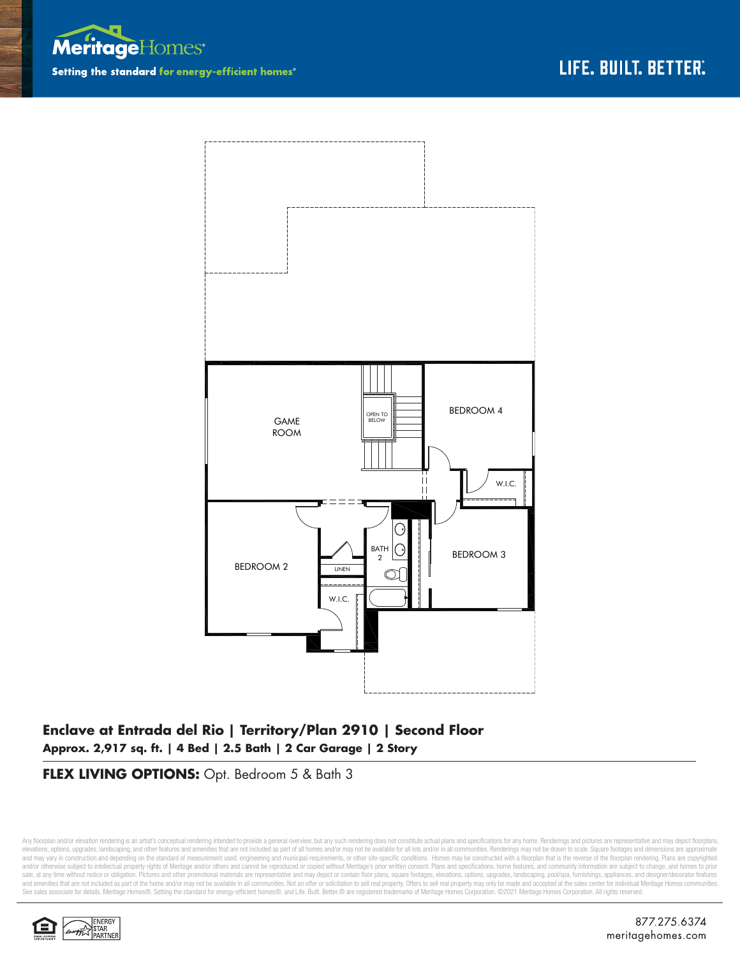



# **Enclave at Entrada del Rio | Territory/Plan 2910 | Second Floor Approx. 2,917 sq. ft. | 4 Bed | 2.5 Bath | 2 Car Garage | 2 Story**

### **FLEX LIVING OPTIONS:** Opt. Bedroom 5 & Bath 3

Any floorplan and/or elevation rendering is an artist's conceptual rendering intended to provide a general overview, but any such rendering does not constitute actual plans and specifications for any home. Renderings and p elevations, options, upgrades, landscaping, and other features and amenities that are not included as part of all homes and/or may not be available for all lots and/or in all communities. Renderings may not be drawn to sca and may vary in construction and depending on the standard of measurement used, engineering and municipal requirements, or other site-specific conditions. Homes may be constructed with a floorplan that is the reverse of th and/or otherwise subject to intellectual property rights of Meritage and/or others and cannot be reproduced or copied without Meritage's prior written consent. Plans and specifications, home features, and community informa sale, at any time without notice or obligation. Pictures and other promotional materials are representative and may depict or contain floor plans, square footages, elevations, options, upgrades, landscaping, pool/spa, furn See sales associate for details. Meritage Homes®, Setting the standard for energy-efficient homes®, and Life. Built. Better. @ are registered trademarks of Meritage Homes Corporation. ©2021 Meritage Homes Corporation. All